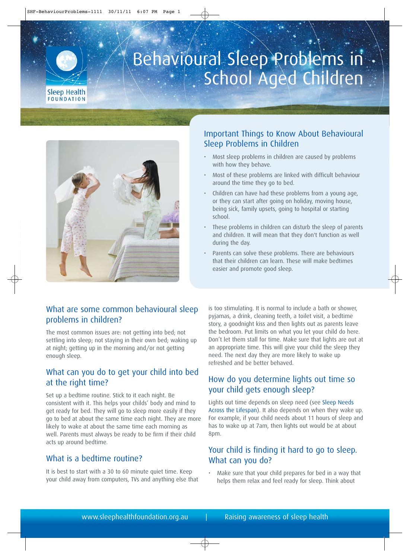

# Behavioural Sleep Problems in School Aged Children



#### Important Things to Know About Behavioural Sleep Problems in Children

- Most sleep problems in children are caused by problems with how they behave.
- Most of these problems are linked with difficult behaviour around the time they go to bed.
- Children can have had these problems from a young age, or they can start after going on holiday, moving house, being sick, family upsets, going to hospital or starting school.
- These problems in children can disturb the sleep of parents and children. It will mean that they don't function as well during the day.
- Parents can solve these problems. There are behaviours that their children can learn. These will make bedtimes easier and promote good sleep.

#### What are some common behavioural sleep problems in children?

The most common issues are: not getting into bed; not settling into sleep; not staying in their own bed; waking up at night; getting up in the morning and/or not getting enough sleep.

#### What can you do to get your child into bed at the right time?

Set up a bedtime routine. Stick to it each night. Be consistent with it. This helps your childs' body and mind to get ready for bed. They will go to sleep more easily if they go to bed at about the same time each night. They are more likely to wake at about the same time each morning as well. Parents must always be ready to be firm if their child acts up around bedtime.

## What is a bedtime routine?

It is best to start with a 30 to 60 minute quiet time. Keep your child away from computers, TVs and anything else that is too stimulating. It is normal to include a bath or shower, pyjamas, a drink, cleaning teeth, a toilet visit, a bedtime story, a goodnight kiss and then lights out as parents leave the bedroom. Put limits on what you let your child do here. Don't let them stall for time. Make sure that lights are out at an appropriate time. This will give your child the sleep they need. The next day they are more likely to wake up refreshed and be better behaved.

## How do you determine lights out time so your child gets enough sleep?

Lights out time depends on sleep need (se[e Sleep Needs](http://sleephealthfoundation.org.au/pdfs/Sleep%20Needs%20Across%20Lifespan.pdf) [Across the Lifespan\).](http://sleephealthfoundation.org.au/pdfs/Sleep%20Needs%20Across%20Lifespan.pdf) It also depends on when they wake up. For example, if your child needs about 11 hours of sleep and has to wake up at 7am, then lights out would be at about 8pm.

#### Your child is finding it hard to go to sleep. What can you do?

• Make sure that your child prepares for bed in a way that helps them relax and feel ready for sleep. Think about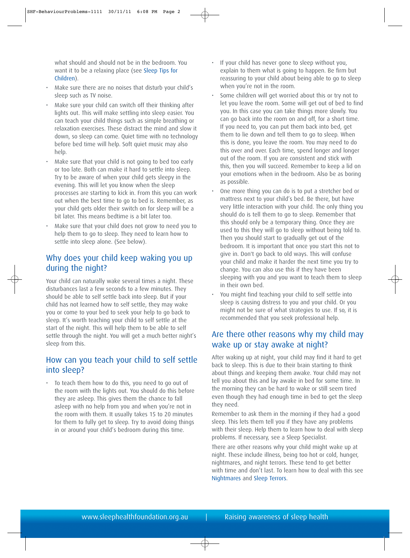what should and should not be in the bedroom. You want it to be a relaxing place (se[e Sleep Tips for](http://sleephealthfoundation.org.au/pdfs/facts/Sleep%20Tips%20for%20Children.pdf) [Children\).](http://sleephealthfoundation.org.au/pdfs/facts/Sleep%20Tips%20for%20Children.pdf)

- Make sure there are no noises that disturb your child's sleep such as TV noise.
- Make sure your child can switch off their thinking after lights out. This will make settling into sleep easier. You can teach your child things such as simple breathing or relaxation exercises. These distract the mind and slow it down, so sleep can come. Quiet time with no technology before bed time will help. Soft quiet music may also help.
- Make sure that your child is not going to bed too early or too late. Both can make it hard to settle into sleep. Try to be aware of when your child gets sleepy in the evening. This will let you know when the sleep processes are starting to kick in. From this you can work out when the best time to go to bed is. Remember, as your child gets older their switch on for sleep will be a bit later. This means bedtime is a bit later too.
- Make sure that your child does not grow to need you to help them to go to sleep. They need to learn how to settle into sleep alone. (See below).

#### Why does your child keep waking you up during the night?

Your child can naturally wake several times a night. These disturbances last a few seconds to a few minutes. They should be able to self settle back into sleep. But if your child has not learned how to self settle, they may wake you or come to your bed to seek your help to go back to sleep. It's worth teaching your child to self settle at the start of the night. This will help them to be able to self settle through the night. You will get a much better night's sleep from this.

#### How can you teach your child to self settle into sleep?

• To teach them how to do this, you need to go out of the room with the lights out. You should do this before they are asleep. This gives them the chance to fall asleep with no help from you and when you're not in the room with them. It usually takes 15 to 20 minutes for them to fully get to sleep. Try to avoid doing things in or around your child's bedroom during this time.

- If your child has never gone to sleep without you, explain to them what is going to happen. Be firm but reassuring to your child about being able to go to sleep when you're not in the room.
- Some children will get worried about this or try not to let you leave the room. Some will get out of bed to find you. In this case you can take things more slowly. You can go back into the room on and off, for a short time. If you need to, you can put them back into bed, get them to lie down and tell them to go to sleep. When this is done, you leave the room. You may need to do this over and over. Each time, spend longer and longer out of the room. If you are consistent and stick with this, then you will succeed. Remember to keep a lid on your emotions when in the bedroom. Also be as boring as possible.
- One more thing you can do is to put a stretcher bed or mattress next to your child's bed. Be there, but have very little interaction with your child. The only thing you should do is tell them to go to sleep. Remember that this should only be a temporary thing. Once they are used to this they will go to sleep without being told to. Then you should start to gradually get out of the bedroom. It is important that once you start this not to give in. Don't go back to old ways. This will confuse your child and make it harder the next time you try to change. You can also use this if they have been sleeping with you and you want to teach them to sleep in their own bed.
- You might find teaching your child to self settle into sleep is causing distress to you and your child. Or you might not be sure of what strategies to use. If so, it is recommended that you seek professional help.

#### Are there other reasons why my child may wake up or stay awake at night?

After waking up at night, your child may find it hard to get back to sleep. This is due to their brain starting to think about things and keeping them awake. Your child may not tell you about this and lay awake in bed for some time. In the morning they can be hard to wake or still seem tired even though they had enough time in bed to get the sleep they need.

Remember to ask them in the morning if they had a good sleep. This lets them tell you if they have any problems with their sleep. Help them to learn how to deal with sleep problems. If necessary, see a Sleep Specialist.

There are other reasons why your child might wake up at night. These include illness, being too hot or cold, hunger, nightmares, and night terrors. These tend to get better with time and don't last. To learn how to deal with this see [Nightmares](http://sleephealthfoundation.org.au/pdfs/nightmares.pdf) and [Sleep Terrors.](http://sleephealthfoundation.org.au/pdfs/sleep%20terrors.pdf)